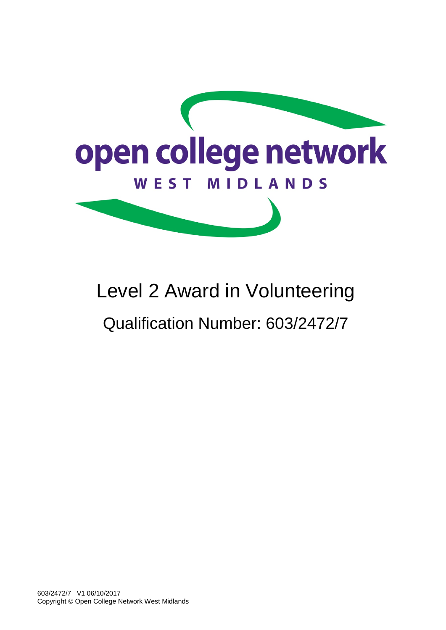

# Level 2 Award in Volunteering Qualification Number: 603/2472/7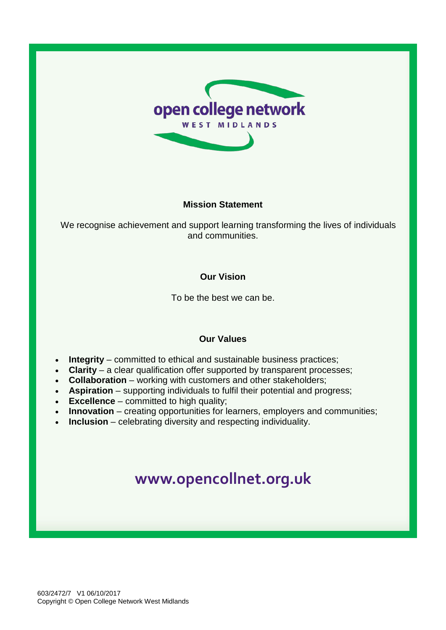

## **Mission Statement**

We recognise achievement and support learning transforming the lives of individuals and communities.

## **Our Vision**

To be the best we can be.

## **Our Values**

- **Integrity** committed to ethical and sustainable business practices;
- **Clarity** a clear qualification offer supported by transparent processes;
- **Collaboration** working with customers and other stakeholders;
- **Aspiration** supporting individuals to fulfil their potential and progress;
- **Excellence** committed to high quality;
- **Innovation** creating opportunities for learners, employers and communities;
- **Inclusion** celebrating diversity and respecting individuality.

## **[www.opencollnet.org.](http://www.ocnwmr.org.uk/)uk**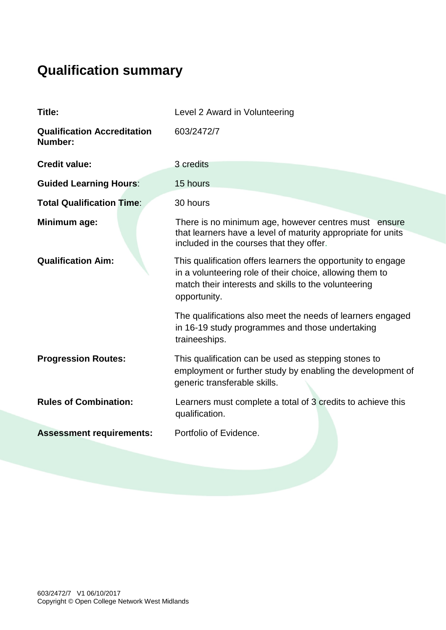## **Qualification summary**

| Title:                                        | Level 2 Award in Volunteering                                                                                                                                                                    |  |  |  |  |
|-----------------------------------------------|--------------------------------------------------------------------------------------------------------------------------------------------------------------------------------------------------|--|--|--|--|
| <b>Qualification Accreditation</b><br>Number: | 603/2472/7                                                                                                                                                                                       |  |  |  |  |
| <b>Credit value:</b>                          | 3 credits                                                                                                                                                                                        |  |  |  |  |
| <b>Guided Learning Hours:</b>                 | 15 hours                                                                                                                                                                                         |  |  |  |  |
| <b>Total Qualification Time:</b>              | 30 hours                                                                                                                                                                                         |  |  |  |  |
| Minimum age:                                  | There is no minimum age, however centres must ensure<br>that learners have a level of maturity appropriate for units<br>included in the courses that they offer.                                 |  |  |  |  |
| <b>Qualification Aim:</b>                     | This qualification offers learners the opportunity to engage<br>in a volunteering role of their choice, allowing them to<br>match their interests and skills to the volunteering<br>opportunity. |  |  |  |  |
|                                               | The qualifications also meet the needs of learners engaged<br>in 16-19 study programmes and those undertaking<br>traineeships.                                                                   |  |  |  |  |
| <b>Progression Routes:</b>                    | This qualification can be used as stepping stones to<br>employment or further study by enabling the development of<br>generic transferable skills.                                               |  |  |  |  |
| <b>Rules of Combination:</b>                  | Learners must complete a total of 3 credits to achieve this<br>qualification.                                                                                                                    |  |  |  |  |
| <b>Assessment requirements:</b>               | Portfolio of Evidence.                                                                                                                                                                           |  |  |  |  |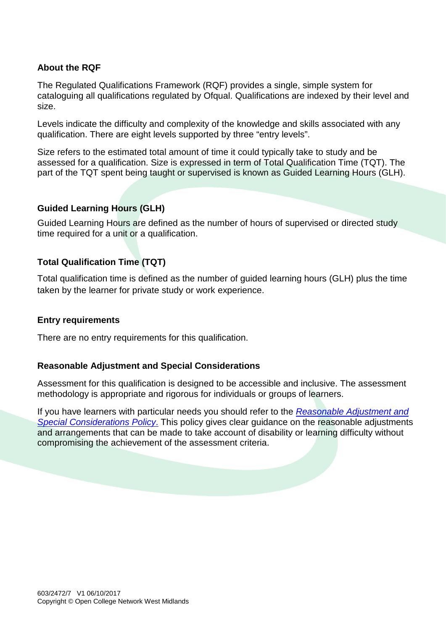## **About the RQF**

The Regulated Qualifications Framework (RQF) provides a single, simple system for cataloguing all qualifications regulated by Ofqual. Qualifications are indexed by their level and size.

Levels indicate the difficulty and complexity of the knowledge and skills associated with any qualification. There are eight levels supported by three "entry levels".

Size refers to the estimated total amount of time it could typically take to study and be assessed for a qualification. Size is expressed in term of Total Qualification Time (TQT). The part of the TQT spent being taught or supervised is known as Guided Learning Hours (GLH).

## **Guided Learning Hours (GLH)**

Guided Learning Hours are defined as the number of hours of supervised or directed study time required for a unit or a qualification.

## **Total Qualification Time (TQT)**

Total qualification time is defined as the number of guided learning hours (GLH) plus the time taken by the learner for private study or work experience.

## **Entry requirements**

There are no entry requirements for this qualification.

## **Reasonable Adjustment and Special Considerations**

Assessment for this qualification is designed to be accessible and inclusive. The assessment methodology is appropriate and rigorous for individuals or groups of learners.

If you have learners with particular needs you should refer to the *[Reasonable Adjustment and](http://www.opencollnet.org.uk/centres/policies-and-procedures?search=)  [Special Considerations Policy](http://www.opencollnet.org.uk/centres/policies-and-procedures?search=)*. This policy gives clear guidance on the reasonable adjustments and arrangements that can be made to take account of disability or learning difficulty without compromising the achievement of the assessment criteria.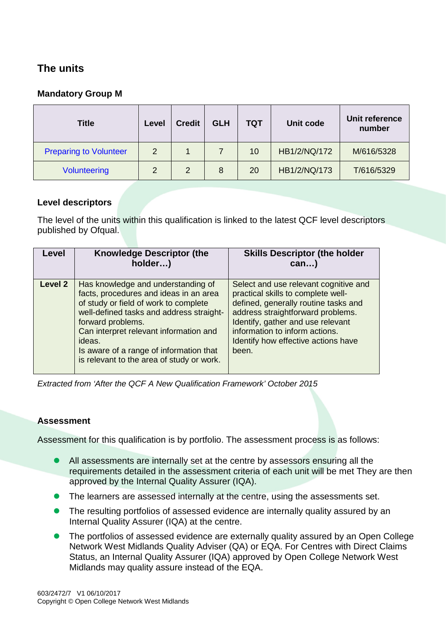## **The units**

## **Mandatory Group M**

| <b>Title</b>                  | Level | <b>Credit</b> | <b>GLH</b> | TQT | Unit code    | Unit reference<br>number |
|-------------------------------|-------|---------------|------------|-----|--------------|--------------------------|
| <b>Preparing to Volunteer</b> | 2     |               |            | 10  | HB1/2/NQ/172 | M/616/5328               |
| <b>Volunteering</b>           | 2     | 2             | 8          | 20  | HB1/2/NQ/173 | T/616/5329               |

## **Level descriptors**

The level of the units within this qualification is linked to the latest QCF level descriptors published by Ofqual.

| Level   | <b>Knowledge Descriptor (the</b><br>holder)                                                                                                                                                                                                                                                                                        | <b>Skills Descriptor (the holder</b><br>$can$ )                                                                                                                                                                                                                                 |
|---------|------------------------------------------------------------------------------------------------------------------------------------------------------------------------------------------------------------------------------------------------------------------------------------------------------------------------------------|---------------------------------------------------------------------------------------------------------------------------------------------------------------------------------------------------------------------------------------------------------------------------------|
| Level 2 | Has knowledge and understanding of<br>facts, procedures and ideas in an area<br>of study or field of work to complete<br>well-defined tasks and address straight-<br>forward problems.<br>Can interpret relevant information and<br>ideas.<br>Is aware of a range of information that<br>is relevant to the area of study or work. | Select and use relevant cognitive and<br>practical skills to complete well-<br>defined, generally routine tasks and<br>address straightforward problems.<br>Identify, gather and use relevant<br>information to inform actions.<br>Identify how effective actions have<br>been. |

*Extracted from 'After the QCF A New Qualification Framework' October 2015*

## **Assessment**

Assessment for this qualification is by portfolio. The assessment process is as follows:

- All assessments are internally set at the centre by assessors ensuring all the requirements detailed in the assessment criteria of each unit will be met They are then approved by the Internal Quality Assurer (IQA).
- The learners are assessed internally at the centre, using the assessments set.
- The resulting portfolios of assessed evidence are internally quality assured by an Internal Quality Assurer (IQA) at the centre.
- The portfolios of assessed evidence are externally quality assured by an Open College Network West Midlands Quality Adviser (QA) or EQA. For Centres with Direct Claims Status, an Internal Quality Assurer (IQA) approved by Open College Network West Midlands may quality assure instead of the EQA.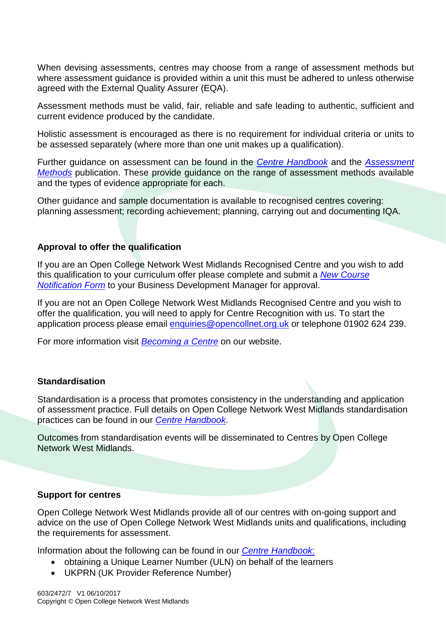When devising assessments, centres may choose from a range of assessment methods but where assessment guidance is provided within a unit this must be adhered to unless otherwise agreed with the External Quality Assurer (EQA).

Assessment methods must be valid, fair, reliable and safe leading to authentic, sufficient and current evidence produced by the candidate.

Holistic assessment is encouraged as there is no requirement for individual criteria or units to be assessed separately (where more than one unit makes up a qualification).

Further guidance on assessment can be found in the *[Centre Handbook](http://www.opencollnet.org.uk/centres/assessment-and-evidence?search=)* and the *[Assessment](http://www.opencollnet.org.uk/centres/assessment-and-evidence?search=)  [Methods](http://www.opencollnet.org.uk/centres/assessment-and-evidence?search=)* publication. These provide guidance on the range of assessment methods available and the types of evidence appropriate for each.

Other guidance and sample documentation is available to recognised centres covering: planning assessment; recording achievement; planning, carrying out and documenting IQA.

### **Approval to offer the qualification**

If you are an Open College Network West Midlands Recognised Centre and you wish to add this qualification to your curriculum offer please complete and submit a *[New Course](http://www.opencollnet.org.uk/centres/creating-new-courses?search=)  [Notification Form](http://www.opencollnet.org.uk/centres/creating-new-courses?search=)* to your Business Development Manager for approval.

If you are not an Open College Network West Midlands Recognised Centre and you wish to offer the qualification, you will need to apply for Centre Recognition with us. To start the application process please email [enquiries@opencollnet.org.uk](mailto:enquiries@opencollnet.org.uk) or telephone 01902 624 239.

For more information visit *[Becoming a Centre](http://www.opencollnet.org.uk/centres/becoming-a-centre)* on our website.

### **Standardisation**

Standardisation is a process that promotes consistency in the understanding and application of assessment practice. Full details on Open College Network West Midlands standardisation practices can be found in our *[Centre Handbook](http://www.opencollnet.org.uk/centres/assessment-and-evidence)*.

Outcomes from standardisation events will be disseminated to Centres by Open College Network West Midlands.

### **Support for centres**

Open College Network West Midlands provide all of our centres with on-going support and advice on the use of Open College Network West Midlands units and qualifications, including the requirements for assessment.

Information about the following can be found in our *[Centre Handbook](http://www.opencollnet.org.uk/centres/assessment-and-evidence)*:

- obtaining a Unique Learner Number (ULN) on behalf of the learners
- UKPRN (UK Provider Reference Number)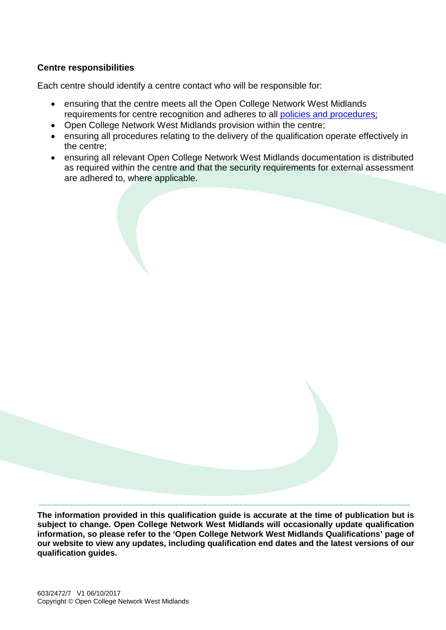## **Centre responsibilities**

Each centre should identify a centre contact who will be responsible for:

- ensuring that the centre meets all the Open College Network West Midlands requirements for centre recognition and adheres to all [policies and procedures;](http://www.opencollnet.org.uk/centres/policies-and-procedures)
- Open College Network West Midlands provision within the centre;
- ensuring all procedures relating to the delivery of the qualification operate effectively in the centre;
- ensuring all relevant Open College Network West Midlands documentation is distributed as required within the centre and that the security requirements for external assessment are adhered to, where applicable.

**The information provided in this qualification guide is accurate at the time of publication but is subject to change. Open College Network West Midlands will occasionally update qualification information, so please refer to the 'Open College Network West Midlands Qualifications' page of our website to view any updates, including qualification end dates and the latest versions of our qualification guides.**